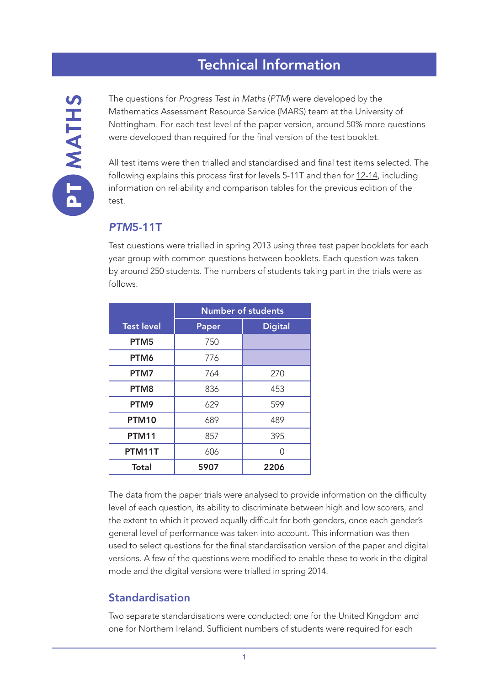# Technical Information

The questions for *Progress Test in Maths* (*PTM*) were developed by the Mathematics Assessment Resource Service (MARS) team at the University of Nottingham. For each test level of the paper version, around 50% more questions were developed than required for the final version of the test booklet.

All test items were then trialled and standardised and final test items selected. The following explains this process first for levels 5-11T and then for [12-14](#page-9-0), including information on reliability and comparison tables for the previous edition of the test.

#### *PTM*5-11T

Test questions were trialled in spring 2013 using three test paper booklets for each year group with common questions between booklets. Each question was taken by around 250 students. The numbers of students taking part in the trials were as follows.

|                   | <b>Number of students</b> |                |  |  |  |
|-------------------|---------------------------|----------------|--|--|--|
| <b>Test level</b> | Paper                     | <b>Digital</b> |  |  |  |
| PTM5              | 750                       |                |  |  |  |
| PTM6              | 776                       |                |  |  |  |
| PTM7              | 764                       | 270            |  |  |  |
| PTM <sub>8</sub>  | 836                       | 453            |  |  |  |
| PTM9              | 629                       | 599            |  |  |  |
| <b>PTM10</b>      | 689                       | 489            |  |  |  |
| <b>PTM11</b>      | 857                       | 395            |  |  |  |
| PTM11T            | 606                       | ∩              |  |  |  |
| <b>Total</b>      | 5907                      | 2206           |  |  |  |

The data from the paper trials were analysed to provide information on the difficulty level of each question, its ability to discriminate between high and low scorers, and the extent to which it proved equally difficult for both genders, once each gender's general level of performance was taken into account. This information was then used to select questions for the final standardisation version of the paper and digital versions. A few of the questions were modified to enable these to work in the digital mode and the digital versions were trialled in spring 2014.

#### Standardisation

Two separate standardisations were conducted: one for the United Kingdom and one for Northern Ireland. Sufficient numbers of students were required for each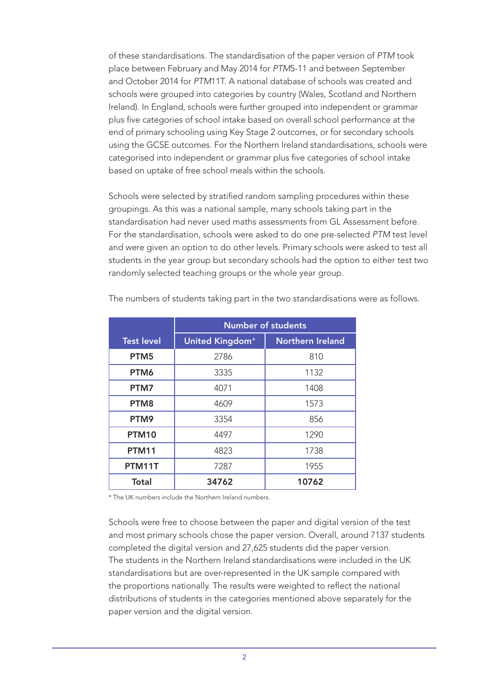of these standardisations. The standardisation of the paper version of *PTM* took place between February and May 2014 for *PTM*5-11 and between September and October 2014 for *PTM*11T. A national database of schools was created and schools were grouped into categories by country (Wales, Scotland and Northern Ireland). In England, schools were further grouped into independent or grammar plus five categories of school intake based on overall school performance at the end of primary schooling using Key Stage 2 outcomes, or for secondary schools using the GCSE outcomes. For the Northern Ireland standardisations, schools were categorised into independent or grammar plus five categories of school intake based on uptake of free school meals within the schools.

Schools were selected by stratified random sampling procedures within these groupings. As this was a national sample, many schools taking part in the standardisation had never used maths assessments from GL Assessment before. For the standardisation, schools were asked to do one pre-selected *PTM* test level and were given an option to do other levels. Primary schools were asked to test all students in the year group but secondary schools had the option to either test two randomly selected teaching groups or the whole year group.

|                   | <b>Number of students</b> |                         |  |  |  |
|-------------------|---------------------------|-------------------------|--|--|--|
| <b>Test level</b> | United Kingdom*           | <b>Northern Ireland</b> |  |  |  |
| PTM <sub>5</sub>  | 2786                      | 810                     |  |  |  |
| PTM6              | 3335                      | 1132                    |  |  |  |
| PTM7              | 4071                      | 1408                    |  |  |  |
| PTM <sub>8</sub>  | 4609                      | 1573                    |  |  |  |
| PTM9              | 3354                      | 856                     |  |  |  |
| <b>PTM10</b>      | 4497                      | 1290                    |  |  |  |
| <b>PTM11</b>      | 4823                      | 1738                    |  |  |  |
| PTM11T            | 7287                      | 1955                    |  |  |  |
| <b>Total</b>      | 34762                     | 10762                   |  |  |  |

The numbers of students taking part in the two standardisations were as follows.

\* The UK numbers include the Northern Ireland numbers.

Schools were free to choose between the paper and digital version of the test and most primary schools chose the paper version. Overall, around 7137 students completed the digital version and 27,625 students did the paper version. The students in the Northern Ireland standardisations were included in the UK standardisations but are over-represented in the UK sample compared with the proportions nationally. The results were weighted to reflect the national distributions of students in the categories mentioned above separately for the paper version and the digital version.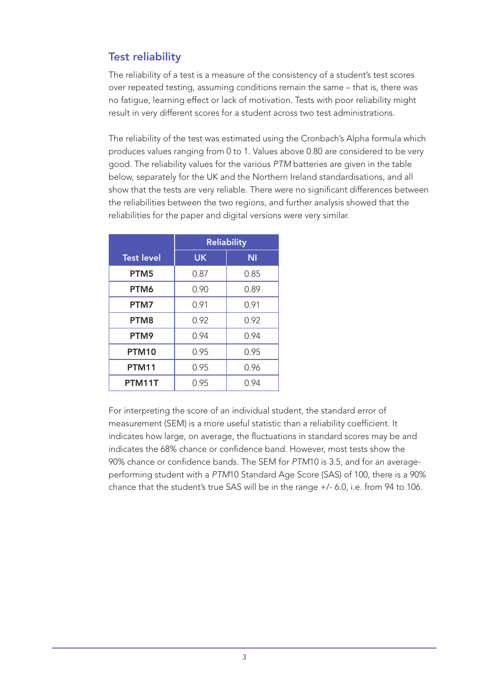# Test reliability

The reliability of a test is a measure of the consistency of a student's test scores over repeated testing, assuming conditions remain the same – that is, there was no fatigue, learning effect or lack of motivation. Tests with poor reliability might result in very different scores for a student across two test administrations.

The reliability of the test was estimated using the Cronbach's Alpha formula which produces values ranging from 0 to 1. Values above 0.80 are considered to be very good. The reliability values for the various *PTM* batteries are given in the table below, separately for the UK and the Northern Ireland standardisations, and all show that the tests are very reliable. There were no significant differences between the reliabilities between the two regions, and further analysis showed that the reliabilities for the paper and digital versions were very similar.

|                   | <b>Reliability</b> |           |  |  |
|-------------------|--------------------|-----------|--|--|
| <b>Test level</b> | <b>UK</b>          | <b>NI</b> |  |  |
| PTM <sub>5</sub>  | 0.87               | 0.85      |  |  |
| PTM6              | 0.90               | 0.89      |  |  |
| PTM7              | 0.91               | 0.91      |  |  |
| PTM <sub>8</sub>  | 0.92               | 0.92      |  |  |
| PTM9              | 0.94               | 0.94      |  |  |
| <b>PTM10</b>      | 0.95               | 0.95      |  |  |
| <b>PTM11</b>      | 0.95               | 0.96      |  |  |
| PTM11T            | 0.95               | 0.94      |  |  |

For interpreting the score of an individual student, the standard error of measurement (SEM) is a more useful statistic than a reliability coefficient. It indicates how large, on average, the fluctuations in standard scores may be and indicates the 68% chance or confidence band. However, most tests show the 90% chance or confidence bands. The SEM for *PTM*10 is 3.5, and for an averageperforming student with a *PTM*10 Standard Age Score (SAS) of 100, there is a 90% chance that the student's true SAS will be in the range +/- 6.0, i.e. from 94 to 106.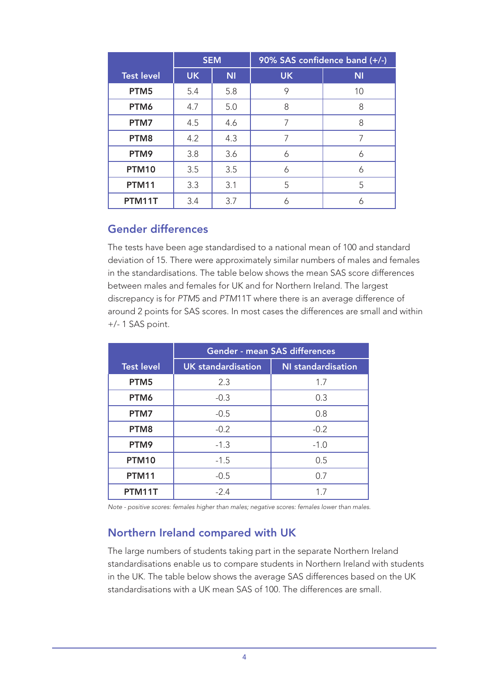|                   | <b>SEM</b> |           |           | 90% SAS confidence band (+/-) |
|-------------------|------------|-----------|-----------|-------------------------------|
| <b>Test level</b> | <b>UK</b>  | <b>NI</b> | <b>UK</b> | <b>NI</b>                     |
| PTM <sub>5</sub>  | 5.4        | 5.8       | 9         | 10                            |
| PTM6              | 4.7        | 5.0       | 8         | 8                             |
| PTM7              | 4.5        | 4.6       | 7         | 8                             |
| PTM8              | 4.2        | 4.3       | 7         | 7                             |
| PTM9              | 3.8        | 3.6       | 6         | 6                             |
| <b>PTM10</b>      | 3.5        | 3.5       | 6         | 6                             |
| <b>PTM11</b>      | 3.3        | 3.1       | 5         | 5                             |
| PTM11T            | 3.4        | 3.7       | 6         | 6                             |

### Gender differences

The tests have been age standardised to a national mean of 100 and standard deviation of 15. There were approximately similar numbers of males and females in the standardisations. The table below shows the mean SAS score differences between males and females for UK and for Northern Ireland. The largest discrepancy is for *PTM*5 and *PTM*11T where there is an average difference of around 2 points for SAS scores. In most cases the differences are small and within +/- 1 SAS point.

|                   | <b>Gender - mean SAS differences</b> |                           |  |  |  |
|-------------------|--------------------------------------|---------------------------|--|--|--|
| <b>Test level</b> | <b>UK</b> standardisation            | <b>NI</b> standardisation |  |  |  |
| PTM <sub>5</sub>  | 2.3                                  | 1.7                       |  |  |  |
| PTM6              | $-0.3$                               | 0.3                       |  |  |  |
| PTM7              | $-0.5$                               | 0.8                       |  |  |  |
| PTM8              | $-0.2$                               | $-0.2$                    |  |  |  |
| PTM9              | $-1.3$                               | $-1.0$                    |  |  |  |
| <b>PTM10</b>      | $-1.5$                               | 0.5                       |  |  |  |
| <b>PTM11</b>      | $-0.5$                               | 0.7                       |  |  |  |
| PTM11T            | $-2.4$                               |                           |  |  |  |

*Note - positive scores: females higher than males; negative scores: females lower than males.*

## Northern Ireland compared with UK

The large numbers of students taking part in the separate Northern Ireland standardisations enable us to compare students in Northern Ireland with students in the UK. The table below shows the average SAS differences based on the UK standardisations with a UK mean SAS of 100. The differences are small.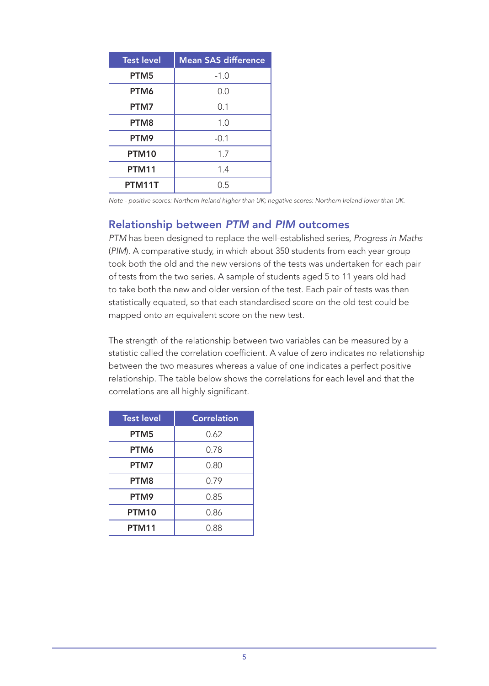| <b>Test level</b> | <b>Mean SAS difference</b> |
|-------------------|----------------------------|
| PTM5              | $-1.0$                     |
| PTM6              | 0.0                        |
| PTM7              | 0.1                        |
| PTM <sub>8</sub>  | 1.0                        |
| PTM9              | $-0.1$                     |
| <b>PTM10</b>      | 1.7                        |
| <b>PTM11</b>      | 1.4                        |
| PTM11T            | O 5                        |

*Note - positive scores: Northern Ireland higher than UK; negative scores: Northern Ireland lower than UK.*

#### Relationship between *PTM* and *PIM* outcomes

*PTM* has been designed to replace the well-established series, *Progress in Maths* (*PIM*). A comparative study, in which about 350 students from each year group took both the old and the new versions of the tests was undertaken for each pair of tests from the two series. A sample of students aged 5 to 11 years old had to take both the new and older version of the test. Each pair of tests was then statistically equated, so that each standardised score on the old test could be mapped onto an equivalent score on the new test.

The strength of the relationship between two variables can be measured by a statistic called the correlation coefficient. A value of zero indicates no relationship between the two measures whereas a value of one indicates a perfect positive relationship. The table below shows the correlations for each level and that the correlations are all highly significant.

| <b>Test level</b> | <b>Correlation</b> |
|-------------------|--------------------|
| PTM <sub>5</sub>  | 0.62               |
| PTM6              | 0.78               |
| PTM7              | 0.80               |
| PTM8              | 0.79               |
| PTM9              | 0.85               |
| <b>PTM10</b>      | 0.86               |
| <b>PTM11</b>      | 0.88               |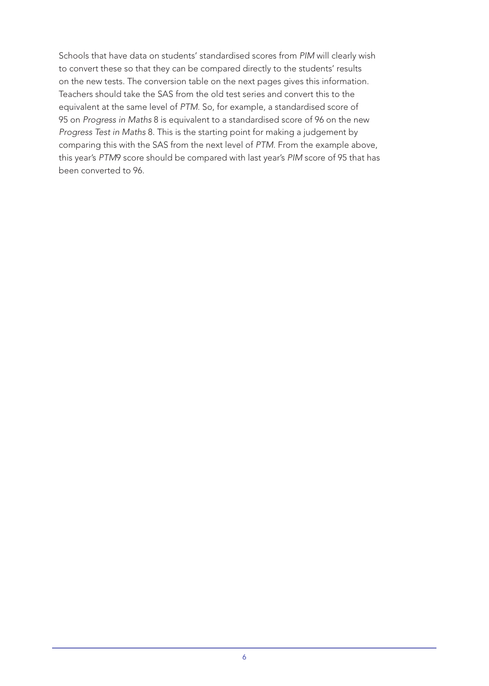Schools that have data on students' standardised scores from *PIM* will clearly wish to convert these so that they can be compared directly to the students' results on the new tests. The conversion table on the next pages gives this information. Teachers should take the SAS from the old test series and convert this to the equivalent at the same level of *PTM*. So, for example, a standardised score of 95 on *Progress in Maths* 8 is equivalent to a standardised score of 96 on the new *Progress Test in Maths* 8. This is the starting point for making a judgement by comparing this with the SAS from the next level of *PTM*. From the example above, this year's *PTM*9 score should be compared with last year's *PIM* score of 95 that has been converted to 96.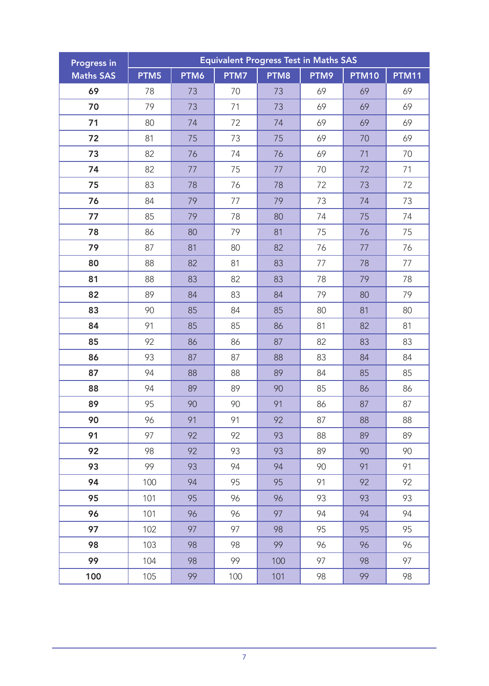| <b>Progress in</b> | <b>Equivalent Progress Test in Maths SAS</b> |      |      |      |      |              |              |
|--------------------|----------------------------------------------|------|------|------|------|--------------|--------------|
| <b>Maths SAS</b>   | PTM5                                         | PTM6 | PTM7 | PTM8 | PTM9 | <b>PTM10</b> | <b>PTM11</b> |
| 69                 | 78                                           | 73   | 70   | 73   | 69   | 69           | 69           |
| 70                 | 79                                           | 73   | 71   | 73   | 69   | 69           | 69           |
| 71                 | 80                                           | 74   | 72   | 74   | 69   | 69           | 69           |
| 72                 | 81                                           | 75   | 73   | 75   | 69   | 70           | 69           |
| 73                 | 82                                           | 76   | 74   | 76   | 69   | 71           | 70           |
| 74                 | 82                                           | 77   | 75   | 77   | 70   | 72           | 71           |
| 75                 | 83                                           | 78   | 76   | 78   | 72   | 73           | 72           |
| 76                 | 84                                           | 79   | 77   | 79   | 73   | 74           | 73           |
| 77                 | 85                                           | 79   | 78   | 80   | 74   | 75           | 74           |
| 78                 | 86                                           | 80   | 79   | 81   | 75   | 76           | 75           |
| 79                 | 87                                           | 81   | 80   | 82   | 76   | 77           | 76           |
| 80                 | 88                                           | 82   | 81   | 83   | 77   | 78           | 77           |
| 81                 | 88                                           | 83   | 82   | 83   | 78   | 79           | 78           |
| 82                 | 89                                           | 84   | 83   | 84   | 79   | 80           | 79           |
| 83                 | 90                                           | 85   | 84   | 85   | 80   | 81           | 80           |
| 84                 | 91                                           | 85   | 85   | 86   | 81   | 82           | 81           |
| 85                 | 92                                           | 86   | 86   | 87   | 82   | 83           | 83           |
| 86                 | 93                                           | 87   | 87   | 88   | 83   | 84           | 84           |
| 87                 | 94                                           | 88   | 88   | 89   | 84   | 85           | 85           |
| 88                 | 94                                           | 89   | 89   | 90   | 85   | 86           | 86           |
| 89                 | 95                                           | 90   | 90   | 91   | 86   | 87           | 87           |
| 90                 | 96                                           | 91   | 91   | 92   | 87   | 88           | 88           |
| 91                 | 97                                           | 92   | 92   | 93   | 88   | 89           | 89           |
| 92                 | 98                                           | 92   | 93   | 93   | 89   | 90           | 90           |
| 93                 | 99                                           | 93   | 94   | 94   | 90   | 91           | 91           |
| 94                 | 100                                          | 94   | 95   | 95   | 91   | 92           | 92           |
| 95                 | 101                                          | 95   | 96   | 96   | 93   | 93           | 93           |
| 96                 | 101                                          | 96   | 96   | 97   | 94   | 94           | 94           |
| 97                 | 102                                          | 97   | 97   | 98   | 95   | 95           | 95           |
| 98                 | 103                                          | 98   | 98   | 99   | 96   | 96           | 96           |
| 99                 | 104                                          | 98   | 99   | 100  | 97   | 98           | 97           |
| 100                | 105                                          | 99   | 100  | 101  | 98   | 99           | 98           |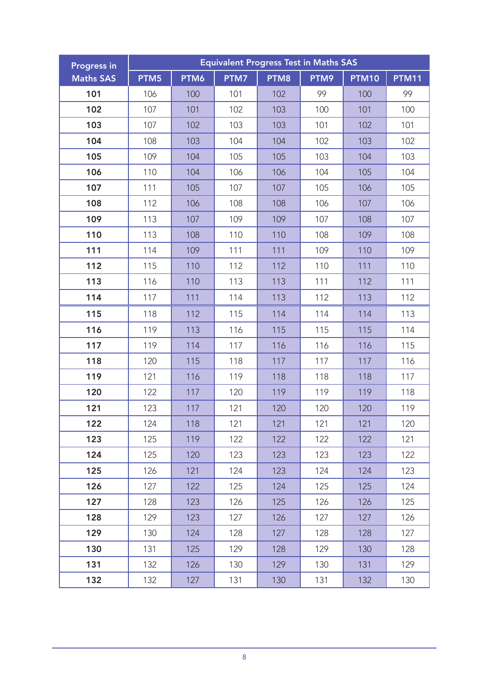| <b>Progress in</b> | <b>Equivalent Progress Test in Maths SAS</b> |      |      |                  |      |              |              |
|--------------------|----------------------------------------------|------|------|------------------|------|--------------|--------------|
| <b>Maths SAS</b>   | PTM5                                         | PTM6 | PTM7 | PTM <sub>8</sub> | PTM9 | <b>PTM10</b> | <b>PTM11</b> |
| 101                | 106                                          | 100  | 101  | 102              | 99   | 100          | 99           |
| 102                | 107                                          | 101  | 102  | 103              | 100  | 101          | 100          |
| 103                | 107                                          | 102  | 103  | 103              | 101  | 102          | 101          |
| 104                | 108                                          | 103  | 104  | 104              | 102  | 103          | 102          |
| 105                | 109                                          | 104  | 105  | 105              | 103  | 104          | 103          |
| 106                | 110                                          | 104  | 106  | 106              | 104  | 105          | 104          |
| 107                | 111                                          | 105  | 107  | 107              | 105  | 106          | 105          |
| 108                | 112                                          | 106  | 108  | 108              | 106  | 107          | 106          |
| 109                | 113                                          | 107  | 109  | 109              | 107  | 108          | 107          |
| 110                | 113                                          | 108  | 110  | 110              | 108  | 109          | 108          |
| 111                | 114                                          | 109  | 111  | 111              | 109  | 110          | 109          |
| 112                | 115                                          | 110  | 112  | 112              | 110  | 111          | 110          |
| 113                | 116                                          | 110  | 113  | 113              | 111  | 112          | 111          |
| 114                | 117                                          | 111  | 114  | 113              | 112  | 113          | 112          |
| 115                | 118                                          | 112  | 115  | 114              | 114  | 114          | 113          |
| 116                | 119                                          | 113  | 116  | 115              | 115  | 115          | 114          |
| 117                | 119                                          | 114  | 117  | 116              | 116  | 116          | 115          |
| 118                | 120                                          | 115  | 118  | 117              | 117  | 117          | 116          |
| 119                | 121                                          | 116  | 119  | 118              | 118  | 118          | 117          |
| 120                | 122                                          | 117  | 120  | 119              | 119  | 119          | 118          |
| 121                | 123                                          | 117  | 121  | 120              | 120  | 120          | 119          |
| 122                | 124                                          | 118  | 121  | 121              | 121  | 121          | 120          |
| 123                | 125                                          | 119  | 122  | 122              | 122  | 122          | 121          |
| 124                | 125                                          | 120  | 123  | 123              | 123  | 123          | 122          |
| 125                | 126                                          | 121  | 124  | 123              | 124  | 124          | 123          |
| 126                | 127                                          | 122  | 125  | 124              | 125  | 125          | 124          |
| 127                | 128                                          | 123  | 126  | 125              | 126  | 126          | 125          |
| 128                | 129                                          | 123  | 127  | 126              | 127  | 127          | 126          |
| 129                | 130                                          | 124  | 128  | 127              | 128  | 128          | 127          |
| 130                | 131                                          | 125  | 129  | 128              | 129  | 130          | 128          |
| 131                | 132                                          | 126  | 130  | 129              | 130  | 131          | 129          |
| 132                | 132                                          | 127  | 131  | 130              | 131  | 132          | 130          |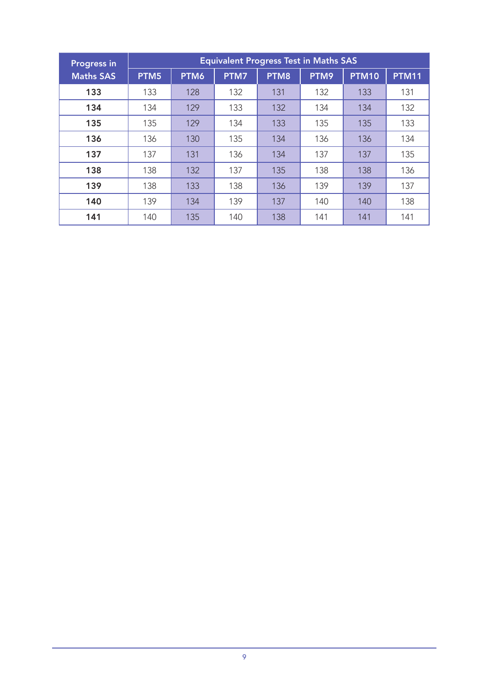| <b>Progress in</b> | <b>Equivalent Progress Test in Maths SAS</b> |      |      |      |      |              |              |
|--------------------|----------------------------------------------|------|------|------|------|--------------|--------------|
| <b>Maths SAS</b>   | PTM5                                         | PTM6 | PTM7 | PTM8 | PTM9 | <b>PTM10</b> | <b>PTM11</b> |
| 133                | 133                                          | 128  | 132  | 131  | 132  | 133          | 131          |
| 134                | 134                                          | 129  | 133  | 132  | 134  | 134          | 132          |
| 135                | 135                                          | 129  | 134  | 133  | 135  | 135          | 133          |
| 136                | 136                                          | 130  | 135  | 134  | 136  | 136          | 134          |
| 137                | 137                                          | 131  | 136  | 134  | 137  | 137          | 135          |
| 138                | 138                                          | 132  | 137  | 135  | 138  | 138          | 136          |
| 139                | 138                                          | 133  | 138  | 136  | 139  | 139          | 137          |
| 140                | 139                                          | 134  | 139  | 137  | 140  | 140          | 138          |
| 141                | 140                                          | 135  | 140  | 138  | 141  | 141          | 141          |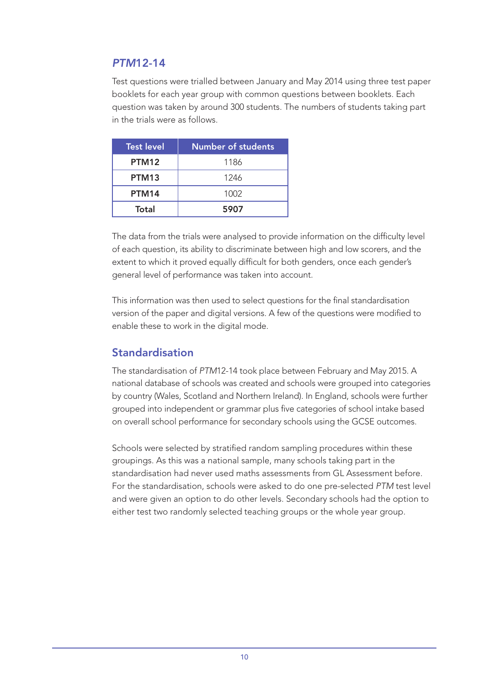# <span id="page-9-0"></span>*PTM*12-14

Test questions were trialled between January and May 2014 using three test paper booklets for each year group with common questions between booklets. Each question was taken by around 300 students. The numbers of students taking part in the trials were as follows.

| <b>Test level</b> | <b>Number of students</b> |
|-------------------|---------------------------|
| PTM <sub>12</sub> | 1186                      |
| PTM <sub>13</sub> | 1246                      |
| PTM14             | 1002                      |
| Total             | 5907                      |

The data from the trials were analysed to provide information on the difficulty level of each question, its ability to discriminate between high and low scorers, and the extent to which it proved equally difficult for both genders, once each gender's general level of performance was taken into account.

This information was then used to select questions for the final standardisation version of the paper and digital versions. A few of the questions were modified to enable these to work in the digital mode.

## Standardisation

The standardisation of *PTM*12-14 took place between February and May 2015. A national database of schools was created and schools were grouped into categories by country (Wales, Scotland and Northern Ireland). In England, schools were further grouped into independent or grammar plus five categories of school intake based on overall school performance for secondary schools using the GCSE outcomes.

Schools were selected by stratified random sampling procedures within these groupings. As this was a national sample, many schools taking part in the standardisation had never used maths assessments from GL Assessment before. For the standardisation, schools were asked to do one pre-selected *PTM* test level and were given an option to do other levels. Secondary schools had the option to either test two randomly selected teaching groups or the whole year group.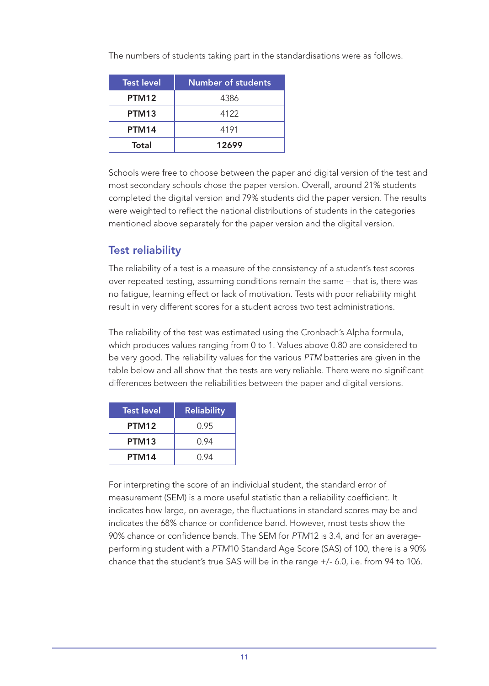| <b>Test level</b> | <b>Number of students</b> |
|-------------------|---------------------------|
| PTM <sub>12</sub> | 4386                      |
| PTM <sub>13</sub> | 4122                      |
| PTM14             | 4191                      |
| Total             | 12699                     |

The numbers of students taking part in the standardisations were as follows.

Schools were free to choose between the paper and digital version of the test and most secondary schools chose the paper version. Overall, around 21% students completed the digital version and 79% students did the paper version. The results were weighted to reflect the national distributions of students in the categories mentioned above separately for the paper version and the digital version.

# Test reliability

The reliability of a test is a measure of the consistency of a student's test scores over repeated testing, assuming conditions remain the same – that is, there was no fatigue, learning effect or lack of motivation. Tests with poor reliability might result in very different scores for a student across two test administrations.

The reliability of the test was estimated using the Cronbach's Alpha formula, which produces values ranging from 0 to 1. Values above 0.80 are considered to be very good. The reliability values for the various *PTM* batteries are given in the table below and all show that the tests are very reliable. There were no significant differences between the reliabilities between the paper and digital versions.

| <b>Test level</b> | <b>Reliability</b> |
|-------------------|--------------------|
| PTM12             | 0.95               |
| PTM <sub>13</sub> | 0.94               |
| PTM14             | 0.94               |

For interpreting the score of an individual student, the standard error of measurement (SEM) is a more useful statistic than a reliability coefficient. It indicates how large, on average, the fluctuations in standard scores may be and indicates the 68% chance or confidence band. However, most tests show the 90% chance or confidence bands. The SEM for *PTM*12 is 3.4, and for an averageperforming student with a *PTM*10 Standard Age Score (SAS) of 100, there is a 90% chance that the student's true SAS will be in the range +/- 6.0, i.e. from 94 to 106.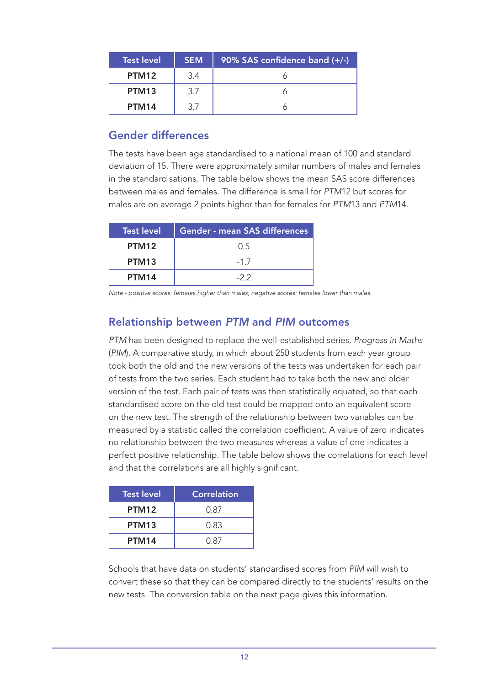| <b>Test level</b> | <b>SEM</b> | 90% SAS confidence band (+/-) |
|-------------------|------------|-------------------------------|
| PTM <sub>12</sub> | 3.4        |                               |
| PTM <sub>13</sub> | 37         |                               |
| PTM14             | 3 7        |                               |

## Gender differences

The tests have been age standardised to a national mean of 100 and standard deviation of 15. There were approximately similar numbers of males and females in the standardisations. The table below shows the mean SAS score differences between males and females. The difference is small for *PTM*12 but scores for males are on average 2 points higher than for females for *PTM*13 and *PTM*14.

| <b>Test level</b> | <b>Gender - mean SAS differences</b> |
|-------------------|--------------------------------------|
| PTM <sub>12</sub> | 0.5                                  |
| PTM <sub>13</sub> | $-17$                                |
| PTM14             | $-22$                                |

*Note - positive scores: females higher than males; negative scores: females lower than males.*

# Relationship between *PTM* and *PIM* outcomes

*PTM* has been designed to replace the well-established series, *Progress in Maths*  (*PIM*). A comparative study, in which about 250 students from each year group took both the old and the new versions of the tests was undertaken for each pair of tests from the two series. Each student had to take both the new and older version of the test. Each pair of tests was then statistically equated, so that each standardised score on the old test could be mapped onto an equivalent score on the new test. The strength of the relationship between two variables can be measured by a statistic called the correlation coefficient. A value of zero indicates no relationship between the two measures whereas a value of one indicates a perfect positive relationship. The table below shows the correlations for each level and that the correlations are all highly significant.

| <b>Test level</b> | <b>Correlation</b> |
|-------------------|--------------------|
| PTM <sub>12</sub> | 0.87               |
| PTM <sub>13</sub> | 0.83               |
| PTM14             | 0.87               |

Schools that have data on students' standardised scores from *PIM* will wish to convert these so that they can be compared directly to the students' results on the new tests. The conversion table on the next page gives this information.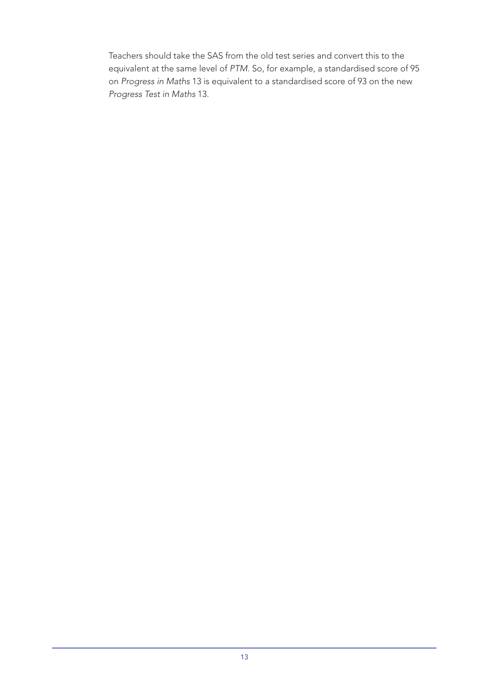Teachers should take the SAS from the old test series and convert this to the equivalent at the same level of *PTM*. So, for example, a standardised score of 95 on *Progress in Maths* 13 is equivalent to a standardised score of 93 on the new *Progress Test in Maths* 13.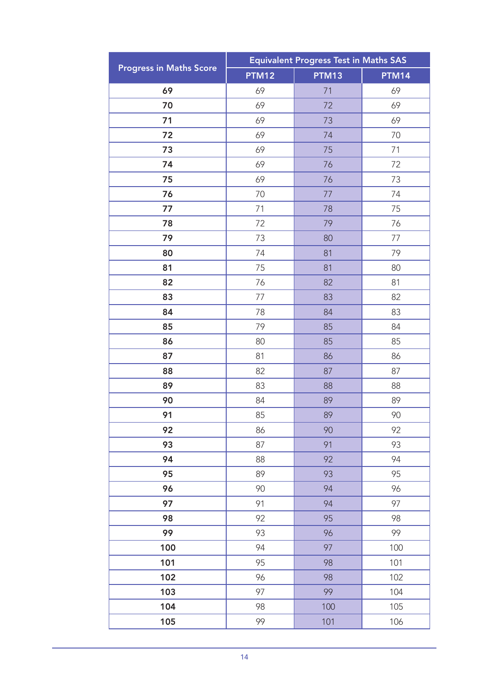|                                | <b>Equivalent Progress Test in Maths SAS</b> |       |              |  |
|--------------------------------|----------------------------------------------|-------|--------------|--|
| <b>Progress in Maths Score</b> | <b>PTM12</b>                                 | PTM13 | <b>PTM14</b> |  |
| 69                             | 69                                           | 71    | 69           |  |
| 70                             | 69                                           | 72    | 69           |  |
| 71                             | 69                                           | 73    | 69           |  |
| 72                             | 69                                           | 74    | 70           |  |
| 73                             | 69                                           | 75    | 71           |  |
| 74                             | 69                                           | 76    | 72           |  |
| 75                             | 69                                           | 76    | 73           |  |
| 76                             | 70                                           | 77    | 74           |  |
| 77                             | 71                                           | 78    | 75           |  |
| 78                             | 72                                           | 79    | 76           |  |
| 79                             | 73                                           | 80    | 77           |  |
| 80                             | 74                                           | 81    | 79           |  |
| 81                             | 75                                           | 81    | 80           |  |
| 82                             | 76                                           | 82    | 81           |  |
| 83                             | 77                                           | 83    | 82           |  |
| 84                             | 78                                           | 84    | 83           |  |
| 85                             | 79                                           | 85    | 84           |  |
| 86                             | 80                                           | 85    | 85           |  |
| 87                             | 81                                           | 86    | 86           |  |
| 88                             | 82                                           | 87    | 87           |  |
| 89                             | 83                                           | 88    | 88           |  |
| 90                             | 84                                           | 89    | 89           |  |
| 91                             | 85                                           | 89    | 90           |  |
| 92                             | 86                                           | 90    | 92           |  |
| 93                             | 87                                           | 91    | 93           |  |
| 94                             | 88                                           | 92    | 94           |  |
| 95                             | 89                                           | 93    | 95           |  |
| 96                             | 90                                           | 94    | 96           |  |
| 97                             | 91                                           | 94    | 97           |  |
| 98                             | 92                                           | 95    | 98           |  |
| 99                             | 93                                           | 96    | 99           |  |
| 100                            | 94                                           | 97    | 100          |  |
| 101                            | 95                                           | 98    | 101          |  |
| 102                            | 96                                           | 98    | 102          |  |
| 103                            | 97                                           | 99    | 104          |  |
| 104                            | 98                                           | 100   | 105          |  |
| 105                            | 99                                           | 101   | 106          |  |